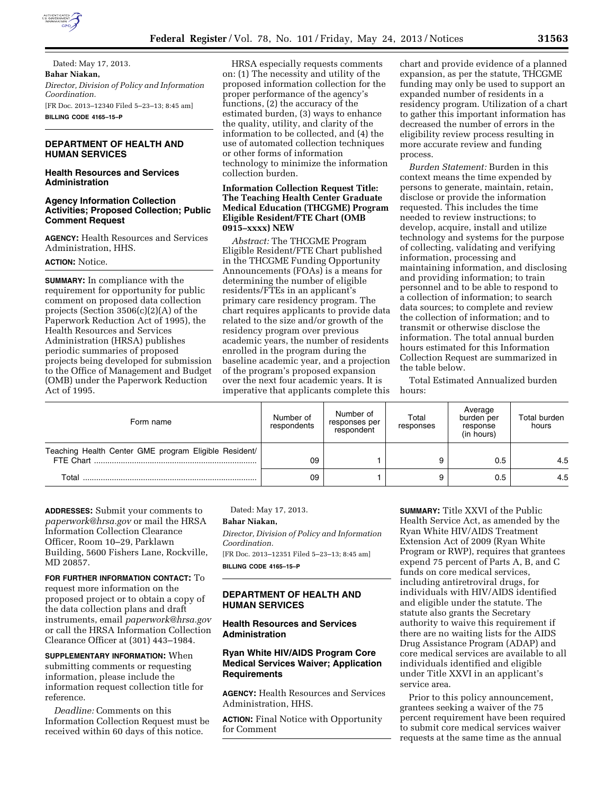

Dated: May 17, 2013. **Bahar Niakan,**  *Director, Division of Policy and Information Coordination.*  [FR Doc. 2013–12340 Filed 5–23–13; 8:45 am] **BILLING CODE 4165–15–P** 

# **DEPARTMENT OF HEALTH AND HUMAN SERVICES**

# **Health Resources and Services Administration**

# **Agency Information Collection Activities; Proposed Collection; Public Comment Request**

**AGENCY:** Health Resources and Services Administration, HHS.

## **ACTION:** Notice.

**SUMMARY:** In compliance with the requirement for opportunity for public comment on proposed data collection projects (Section 3506(c)(2)(A) of the Paperwork Reduction Act of 1995), the Health Resources and Services Administration (HRSA) publishes periodic summaries of proposed projects being developed for submission to the Office of Management and Budget (OMB) under the Paperwork Reduction Act of 1995.

HRSA especially requests comments on: (1) The necessity and utility of the proposed information collection for the proper performance of the agency's functions, (2) the accuracy of the estimated burden, (3) ways to enhance the quality, utility, and clarity of the information to be collected, and (4) the use of automated collection techniques or other forms of information technology to minimize the information collection burden.

# **Information Collection Request Title: The Teaching Health Center Graduate Medical Education (THCGME) Program Eligible Resident/FTE Chart (OMB 0915–xxxx) NEW**

*Abstract:* The THCGME Program Eligible Resident/FTE Chart published in the THCGME Funding Opportunity Announcements (FOAs) is a means for determining the number of eligible residents/FTEs in an applicant's primary care residency program. The chart requires applicants to provide data related to the size and/or growth of the residency program over previous academic years, the number of residents enrolled in the program during the baseline academic year, and a projection of the program's proposed expansion over the next four academic years. It is imperative that applicants complete this

chart and provide evidence of a planned expansion, as per the statute, THCGME funding may only be used to support an expanded number of residents in a residency program. Utilization of a chart to gather this important information has decreased the number of errors in the eligibility review process resulting in more accurate review and funding process.

*Burden Statement:* Burden in this context means the time expended by persons to generate, maintain, retain, disclose or provide the information requested. This includes the time needed to review instructions; to develop, acquire, install and utilize technology and systems for the purpose of collecting, validating and verifying information, processing and maintaining information, and disclosing and providing information; to train personnel and to be able to respond to a collection of information; to search data sources; to complete and review the collection of information; and to transmit or otherwise disclose the information. The total annual burden hours estimated for this Information Collection Request are summarized in the table below.

Total Estimated Annualized burden hours:

| Form name                                                          | Number of<br>respondents | Number of<br>responses per<br>respondent | Total<br>responses | Average<br>burden per<br>response<br>(in hours) | Total burden<br>hours |
|--------------------------------------------------------------------|--------------------------|------------------------------------------|--------------------|-------------------------------------------------|-----------------------|
| Teaching Health Center GME program Eligible Resident/<br>FTE Chart | 09                       |                                          |                    | 0.5                                             | 4.5                   |
| Total                                                              | 09                       |                                          |                    | 0.5                                             | 4.5                   |

**ADDRESSES:** Submit your comments to *[paperwork@hrsa.gov](mailto:paperwork@hrsa.gov)* or mail the HRSA Information Collection Clearance Officer, Room 10–29, Parklawn Building, 5600 Fishers Lane, Rockville, MD 20857.

**FOR FURTHER INFORMATION CONTACT:** To request more information on the proposed project or to obtain a copy of the data collection plans and draft instruments, email *[paperwork@hrsa.gov](mailto:paperwork@hrsa.gov)*  or call the HRSA Information Collection Clearance Officer at (301) 443–1984.

**SUPPLEMENTARY INFORMATION:** When submitting comments or requesting information, please include the information request collection title for reference.

*Deadline:* Comments on this Information Collection Request must be received within 60 days of this notice.

Dated: May 17, 2013.

#### **Bahar Niakan,**

*Director, Division of Policy and Information Coordination.* 

[FR Doc. 2013–12351 Filed 5–23–13; 8:45 am] **BILLING CODE 4165–15–P** 

# **DEPARTMENT OF HEALTH AND HUMAN SERVICES**

### **Health Resources and Services Administration**

# **Ryan White HIV/AIDS Program Core Medical Services Waiver; Application Requirements**

**AGENCY:** Health Resources and Services Administration, HHS.

**ACTION:** Final Notice with Opportunity for Comment

**SUMMARY:** Title XXVI of the Public Health Service Act, as amended by the Ryan White HIV/AIDS Treatment Extension Act of 2009 (Ryan White Program or RWP), requires that grantees expend 75 percent of Parts A, B, and C funds on core medical services, including antiretroviral drugs, for individuals with HIV/AIDS identified and eligible under the statute. The statute also grants the Secretary authority to waive this requirement if there are no waiting lists for the AIDS Drug Assistance Program (ADAP) and core medical services are available to all individuals identified and eligible under Title XXVI in an applicant's service area.

Prior to this policy announcement, grantees seeking a waiver of the 75 percent requirement have been required to submit core medical services waiver requests at the same time as the annual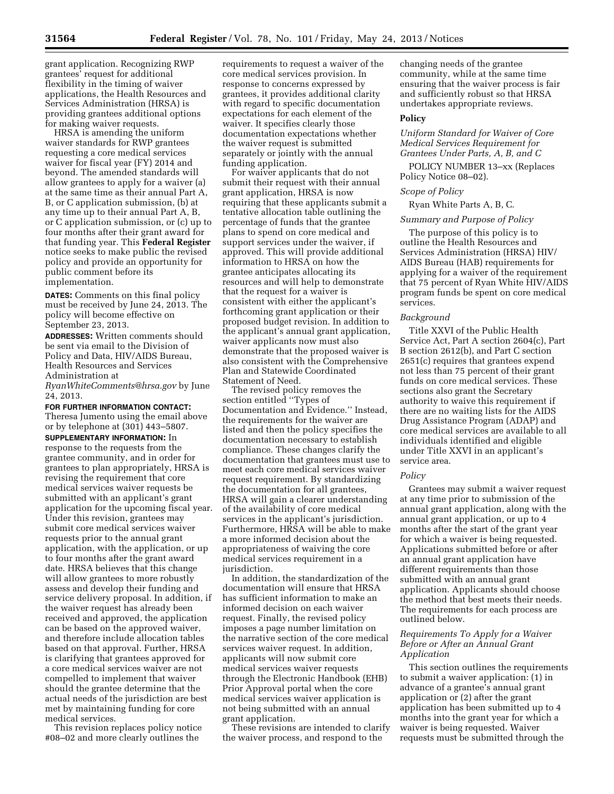grant application. Recognizing RWP grantees' request for additional flexibility in the timing of waiver applications, the Health Resources and Services Administration (HRSA) is providing grantees additional options for making waiver requests.

HRSA is amending the uniform waiver standards for RWP grantees requesting a core medical services waiver for fiscal year (FY) 2014 and beyond. The amended standards will allow grantees to apply for a waiver (a) at the same time as their annual Part A, B, or C application submission, (b) at any time up to their annual Part A, B, or C application submission, or (c) up to four months after their grant award for that funding year. This **Federal Register**  notice seeks to make public the revised policy and provide an opportunity for public comment before its implementation.

**DATES:** Comments on this final policy must be received by June 24, 2013. The policy will become effective on September 23, 2013.

**ADDRESSES:** Written comments should be sent via email to the Division of Policy and Data, HIV/AIDS Bureau, Health Resources and Services Administration at *[RyanWhiteComments@hrsa.gov](mailto:RyanWhiteComments@hrsa.gov)* by June

24, 2013.

**FOR FURTHER INFORMATION CONTACT:** 

Theresa Jumento using the email above or by telephone at (301) 443–5807.

**SUPPLEMENTARY INFORMATION:** In response to the requests from the grantee community, and in order for grantees to plan appropriately, HRSA is revising the requirement that core medical services waiver requests be submitted with an applicant's grant application for the upcoming fiscal year. Under this revision, grantees may submit core medical services waiver requests prior to the annual grant application, with the application, or up to four months after the grant award date. HRSA believes that this change will allow grantees to more robustly assess and develop their funding and service delivery proposal. In addition, if the waiver request has already been received and approved, the application can be based on the approved waiver, and therefore include allocation tables based on that approval. Further, HRSA is clarifying that grantees approved for a core medical services waiver are not compelled to implement that waiver should the grantee determine that the actual needs of the jurisdiction are best met by maintaining funding for core medical services.

This revision replaces policy notice #08–02 and more clearly outlines the

requirements to request a waiver of the core medical services provision. In response to concerns expressed by grantees, it provides additional clarity with regard to specific documentation expectations for each element of the waiver. It specifies clearly those documentation expectations whether the waiver request is submitted separately or jointly with the annual funding application.

For waiver applicants that do not submit their request with their annual grant application, HRSA is now requiring that these applicants submit a tentative allocation table outlining the percentage of funds that the grantee plans to spend on core medical and support services under the waiver, if approved. This will provide additional information to HRSA on how the grantee anticipates allocating its resources and will help to demonstrate that the request for a waiver is consistent with either the applicant's forthcoming grant application or their proposed budget revision. In addition to the applicant's annual grant application, waiver applicants now must also demonstrate that the proposed waiver is also consistent with the Comprehensive Plan and Statewide Coordinated Statement of Need.

The revised policy removes the section entitled ''Types of Documentation and Evidence.'' Instead, the requirements for the waiver are listed and then the policy specifies the documentation necessary to establish compliance. These changes clarify the documentation that grantees must use to meet each core medical services waiver request requirement. By standardizing the documentation for all grantees, HRSA will gain a clearer understanding of the availability of core medical services in the applicant's jurisdiction. Furthermore, HRSA will be able to make a more informed decision about the appropriateness of waiving the core medical services requirement in a jurisdiction.

In addition, the standardization of the documentation will ensure that HRSA has sufficient information to make an informed decision on each waiver request. Finally, the revised policy imposes a page number limitation on the narrative section of the core medical services waiver request. In addition, applicants will now submit core medical services waiver requests through the Electronic Handbook (EHB) Prior Approval portal when the core medical services waiver application is not being submitted with an annual grant application.

These revisions are intended to clarify the waiver process, and respond to the

changing needs of the grantee community, while at the same time ensuring that the waiver process is fair and sufficiently robust so that HRSA undertakes appropriate reviews.

#### **Policy**

*Uniform Standard for Waiver of Core Medical Services Requirement for Grantees Under Parts, A, B, and C* 

POLICY NUMBER 13–xx (Replaces Policy Notice 08–02).

# *Scope of Policy*

Ryan White Parts A, B, C.

## *Summary and Purpose of Policy*

The purpose of this policy is to outline the Health Resources and Services Administration (HRSA) HIV/ AIDS Bureau (HAB) requirements for applying for a waiver of the requirement that 75 percent of Ryan White HIV/AIDS program funds be spent on core medical services.

#### *Background*

Title XXVI of the Public Health Service Act, Part A section 2604(c), Part B section 2612(b), and Part C section 2651(c) requires that grantees expend not less than 75 percent of their grant funds on core medical services. These sections also grant the Secretary authority to waive this requirement if there are no waiting lists for the AIDS Drug Assistance Program (ADAP) and core medical services are available to all individuals identified and eligible under Title XXVI in an applicant's service area.

#### *Policy*

Grantees may submit a waiver request at any time prior to submission of the annual grant application, along with the annual grant application, or up to 4 months after the start of the grant year for which a waiver is being requested. Applications submitted before or after an annual grant application have different requirements than those submitted with an annual grant application. Applicants should choose the method that best meets their needs. The requirements for each process are outlined below.

### *Requirements To Apply for a Waiver Before or After an Annual Grant Application*

This section outlines the requirements to submit a waiver application: (1) in advance of a grantee's annual grant application or (2) after the grant application has been submitted up to 4 months into the grant year for which a waiver is being requested. Waiver requests must be submitted through the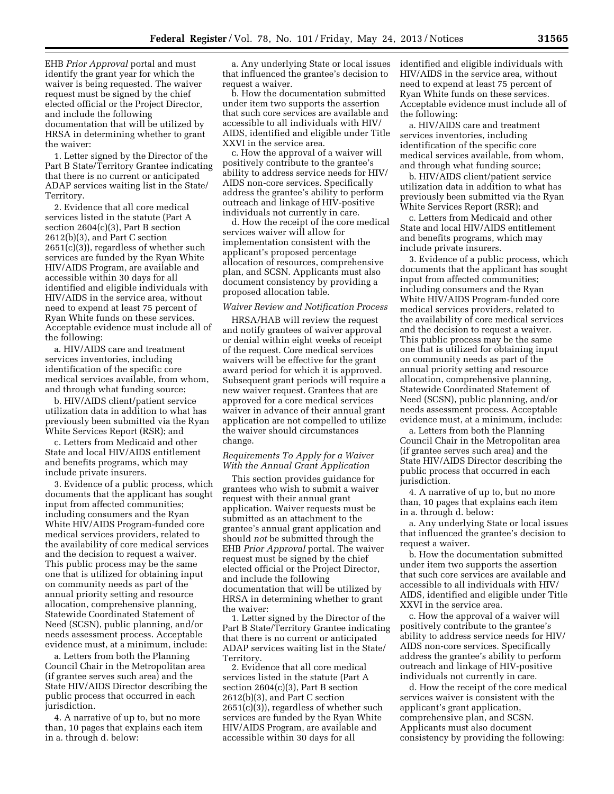EHB *Prior Approval* portal and must identify the grant year for which the waiver is being requested. The waiver request must be signed by the chief elected official or the Project Director, and include the following documentation that will be utilized by HRSA in determining whether to grant the waiver:

1. Letter signed by the Director of the Part B State/Territory Grantee indicating that there is no current or anticipated ADAP services waiting list in the State/ Territory.

2. Evidence that all core medical services listed in the statute (Part A section 2604(c)(3), Part B section 2612(b)(3), and Part C section 2651(c)(3)), regardless of whether such services are funded by the Ryan White HIV/AIDS Program, are available and accessible within 30 days for all identified and eligible individuals with HIV/AIDS in the service area, without need to expend at least 75 percent of Ryan White funds on these services. Acceptable evidence must include all of the following:

a. HIV/AIDS care and treatment services inventories, including identification of the specific core medical services available, from whom, and through what funding source;

b. HIV/AIDS client/patient service utilization data in addition to what has previously been submitted via the Ryan White Services Report (RSR); and

c. Letters from Medicaid and other State and local HIV/AIDS entitlement and benefits programs, which may include private insurers.

3. Evidence of a public process, which documents that the applicant has sought input from affected communities; including consumers and the Ryan White HIV/AIDS Program-funded core medical services providers, related to the availability of core medical services and the decision to request a waiver. This public process may be the same one that is utilized for obtaining input on community needs as part of the annual priority setting and resource allocation, comprehensive planning, Statewide Coordinated Statement of Need (SCSN), public planning, and/or needs assessment process. Acceptable evidence must, at a minimum, include:

a. Letters from both the Planning Council Chair in the Metropolitan area (if grantee serves such area) and the State HIV/AIDS Director describing the public process that occurred in each jurisdiction.

4. A narrative of up to, but no more than, 10 pages that explains each item in a. through d. below:

a. Any underlying State or local issues that influenced the grantee's decision to request a waiver.

b. How the documentation submitted under item two supports the assertion that such core services are available and accessible to all individuals with HIV/ AIDS, identified and eligible under Title XXVI in the service area.

c. How the approval of a waiver will positively contribute to the grantee's ability to address service needs for HIV/ AIDS non-core services. Specifically address the grantee's ability to perform outreach and linkage of HIV-positive individuals not currently in care.

d. How the receipt of the core medical services waiver will allow for implementation consistent with the applicant's proposed percentage allocation of resources, comprehensive plan, and SCSN. Applicants must also document consistency by providing a proposed allocation table.

#### *Waiver Review and Notification Process*

HRSA/HAB will review the request and notify grantees of waiver approval or denial within eight weeks of receipt of the request. Core medical services waivers will be effective for the grant award period for which it is approved. Subsequent grant periods will require a new waiver request. Grantees that are approved for a core medical services waiver in advance of their annual grant application are not compelled to utilize the waiver should circumstances change.

## *Requirements To Apply for a Waiver With the Annual Grant Application*

This section provides guidance for grantees who wish to submit a waiver request with their annual grant application. Waiver requests must be submitted as an attachment to the grantee's annual grant application and should *not* be submitted through the EHB *Prior Approval* portal. The waiver request must be signed by the chief elected official or the Project Director, and include the following documentation that will be utilized by HRSA in determining whether to grant the waiver:

1. Letter signed by the Director of the Part B State/Territory Grantee indicating that there is no current or anticipated ADAP services waiting list in the State/ Territory.

2. Evidence that all core medical services listed in the statute (Part A section 2604(c)(3), Part B section 2612(b)(3), and Part C section 2651(c)(3)), regardless of whether such services are funded by the Ryan White HIV/AIDS Program, are available and accessible within 30 days for all

identified and eligible individuals with HIV/AIDS in the service area, without need to expend at least 75 percent of Ryan White funds on these services. Acceptable evidence must include all of the following:

a. HIV/AIDS care and treatment services inventories, including identification of the specific core medical services available, from whom, and through what funding source;

b. HIV/AIDS client/patient service utilization data in addition to what has previously been submitted via the Ryan White Services Report (RSR); and

c. Letters from Medicaid and other State and local HIV/AIDS entitlement and benefits programs, which may include private insurers.

3. Evidence of a public process, which documents that the applicant has sought input from affected communities; including consumers and the Ryan White HIV/AIDS Program-funded core medical services providers, related to the availability of core medical services and the decision to request a waiver. This public process may be the same one that is utilized for obtaining input on community needs as part of the annual priority setting and resource allocation, comprehensive planning, Statewide Coordinated Statement of Need (SCSN), public planning, and/or needs assessment process. Acceptable evidence must, at a minimum, include:

a. Letters from both the Planning Council Chair in the Metropolitan area (if grantee serves such area) and the State HIV/AIDS Director describing the public process that occurred in each jurisdiction.

4. A narrative of up to, but no more than, 10 pages that explains each item in a. through d. below:

a. Any underlying State or local issues that influenced the grantee's decision to request a waiver.

b. How the documentation submitted under item two supports the assertion that such core services are available and accessible to all individuals with HIV/ AIDS, identified and eligible under Title XXVI in the service area.

c. How the approval of a waiver will positively contribute to the grantee's ability to address service needs for HIV/ AIDS non-core services. Specifically address the grantee's ability to perform outreach and linkage of HIV-positive individuals not currently in care.

d. How the receipt of the core medical services waiver is consistent with the applicant's grant application, comprehensive plan, and SCSN. Applicants must also document consistency by providing the following: